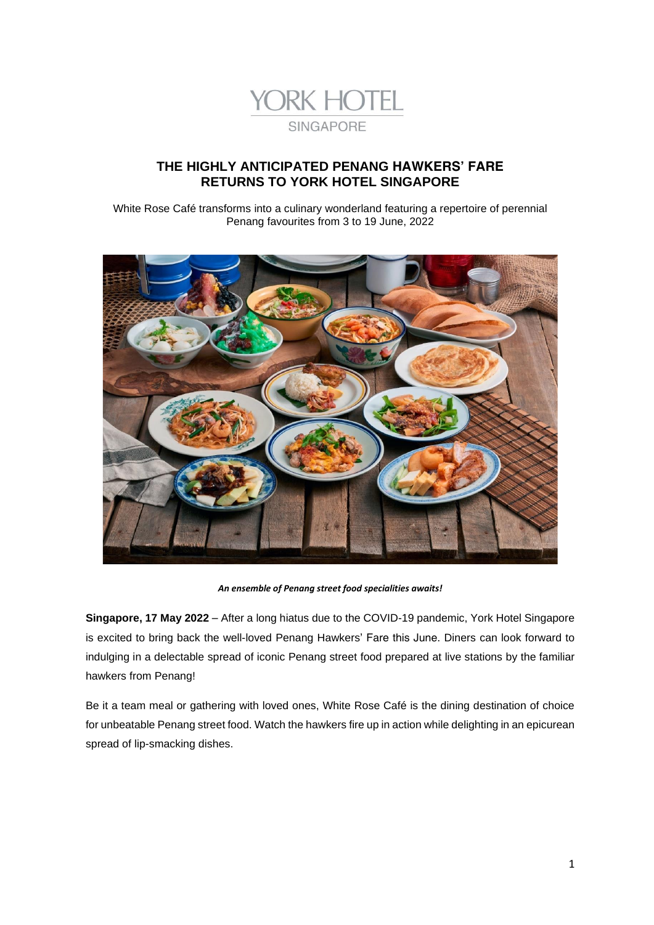

# **THE HIGHLY ANTICIPATED PENANG HAWKERS' FARE RETURNS TO YORK HOTEL SINGAPORE**

*White Rose Café transforms into a culinary wonderland featuring a repertoire of perennial Penang favourites from 3 to 19 June, 2022*



*An ensemble of Penang street food specialities awaits!*

**Singapore, 17 May 2022** – After a long hiatus due to the COVID-19 pandemic, York Hotel Singapore is excited to bring back the well-loved Penang Hawkers' Fare this June. Diners can look forward to indulging in a delectable spread of iconic Penang street food prepared at live stations by the familiar hawkers from Penang!

Be it a team meal or gathering with loved ones, White Rose Café is the dining destination of choice for unbeatable Penang street food. Watch the hawkers fire up in action while delighting in an epicurean spread of lip-smacking dishes.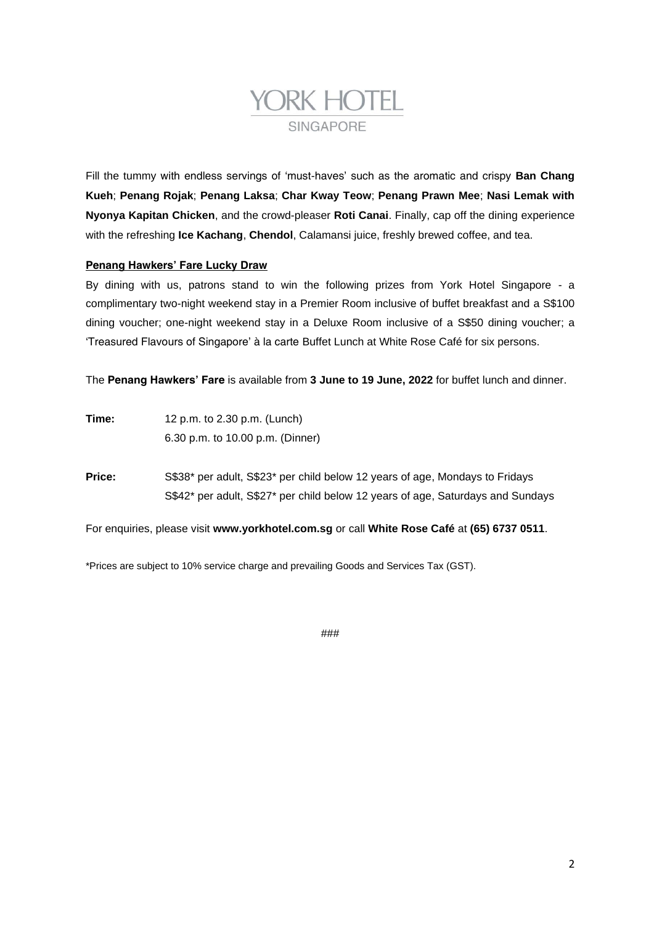

Fill the tummy with endless servings of 'must-haves' such as the aromatic and crispy *Ban Chang Kueh*; *Penang Rojak*; *Penang Laksa*; *Char Kway Teow*; *Penang Prawn Mee*; *Nasi Lemak with Nyonya Kapitan Chicken*, and the crowd-pleaser *Roti Canai*. Finally, cap off the dining experience with the refreshing *Ice Kachang*, *Chendol,* Calamansi juice, freshly brewed coffee, and tea.

## **Penang Hawkers' Fare Lucky Draw**

By dining with us, patrons stand to win the following prizes from York Hotel Singapore - a complimentary two-night weekend stay in a Premier Room inclusive of buffet breakfast and a S\$100 dining voucher; one-night weekend stay in a Deluxe Room inclusive of a S\$50 dining voucher; a 'Treasured Flavours of Singapore' à la carte Buffet Lunch at White Rose Café for six persons.

The **Penang Hawkers' Fare** is available from **3 June to 19 June, 2022** for buffet lunch and dinner.

- **Time:** 12 p.m. to 2.30 p.m. (Lunch) 6.30 p.m. to 10.00 p.m. (Dinner)
- **Price:** S\$38\* per adult, S\$23\* per child below 12 years of age, Mondays to Fridays S\$42\* per adult, S\$27\* per child below 12 years of age, Saturdays and Sundays

For enquiries, please visit **www.yorkhotel.com.sg** or call **White Rose Café** at **(65) 6737 0511**.

*\*Prices are subject to 10% service charge and prevailing Goods and Services Tax (GST).*

###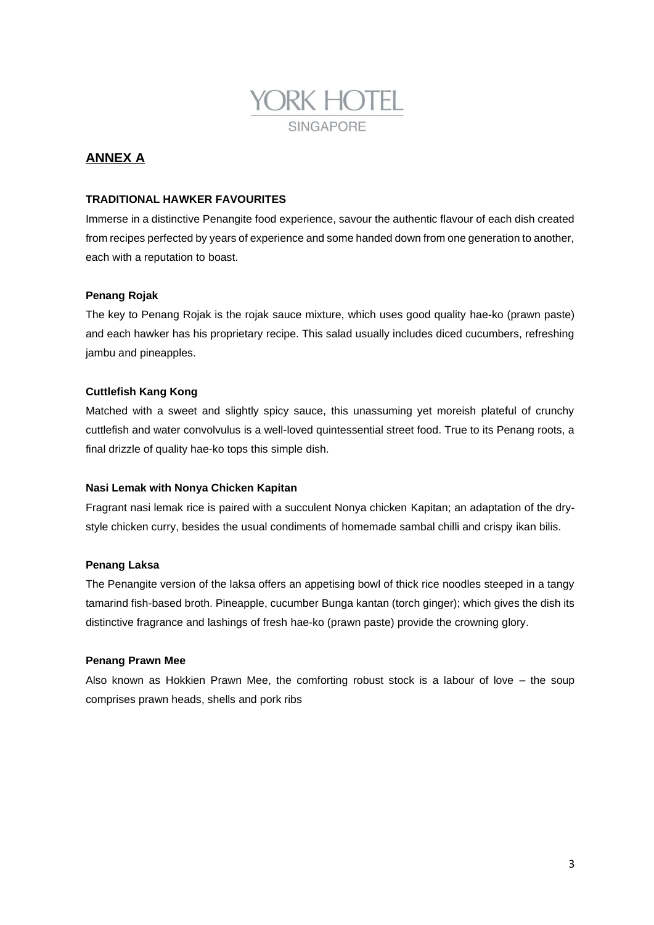

# **ANNEX A**

## **TRADITIONAL HAWKER FAVOURITES**

Immerse in a distinctive *Penangite* food experience, savour the authentic flavour of each dish created from recipes perfected by years of experience and some handed down from one generation to another, each with a reputation to boast.

## **Penang Rojak**

The key to Penang *Rojak* is the *rojak* sauce mixture, which uses good quality *hae-ko* (prawn paste) and each hawker has his proprietary recipe. This salad usually includes diced cucumbers, refreshing *jambu* and pineapples.

## **Cuttlefish Kang Kong**

Matched with a sweet and slightly spicy sauce, this unassuming yet moreish plateful of crunchy cuttlefish and water convolvulus is a well-loved quintessential street food. True to its Penang roots, a final drizzle of quality *hae-ko* tops this simple dish.

## **Nasi Lemak with Nonya Chicken Kapitan**

Fragrant *nasi lemak* rice is paired with a succulent Nonya chicken *Kapitan;* an adaptation of the drystyle chicken curry, besides the usual condiments of homemade sambal chilli and crispy *ikan bilis*.

## **Penang Laksa**

The *Penangite* version of the *laksa* offers an appetising bowl of thick rice noodles steeped in a tangy tamarind fish-based broth. Pineapple, cucumber *Bunga kantan* (torch ginger); which gives the dish its distinctive fragrance and lashings of fresh *hae-ko* (prawn paste) provide the crowning glory.

## **Penang Prawn Mee**

Also known as *Hokkien* Prawn Mee, the comforting robust stock is a labour of love – the soup comprises prawn heads, shells and pork ribs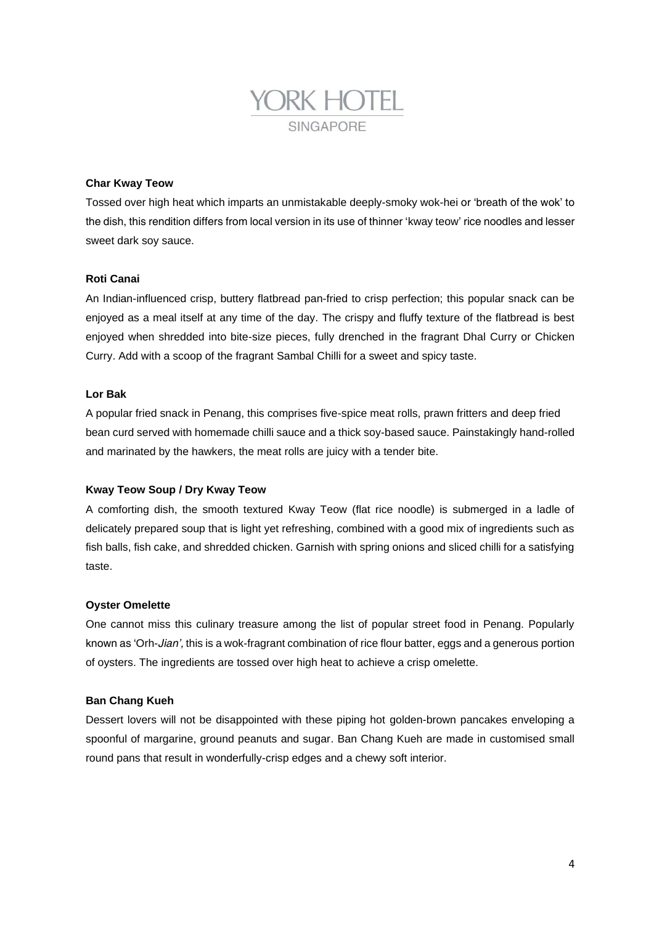# **ORK HOTEL SINGAPORE**

#### **Char Kway Teow**

Tossed over high heat which imparts an unmistakable deeply-smoky *wok-hei* or 'breath of the wok' to the dish, this rendition differs from local version in its use of thinner '*kway teow*' rice noodles and lesser sweet dark soy sauce.

## **Roti Canai**

An Indian-influenced crisp, buttery flatbread pan-fried to crisp perfection; this popular snack can be enjoyed as a meal itself at any time of the day. The crispy and fluffy texture of the flatbread is best enjoyed when shredded into bite-size pieces, fully drenched in the fragrant *Dhal* Curry or Chicken Curry. Add with a scoop of the fragrant *Sambal* Chilli for a sweet and spicy taste.

## **Lor Bak**

A popular fried snack in Penang, this comprises five-spice meat rolls, prawn fritters and deep fried bean curd served with homemade chilli sauce and a thick soy-based sauce. Painstakingly hand-rolled and marinated by the hawkers, the meat rolls are juicy with a tender bite.

## **Kway Teow Soup / Dry Kway Teow**

A comforting dish, the smooth textured *Kway Teow* (flat rice noodle) is submerged in a ladle of delicately prepared soup that is light yet refreshing, combined with a good mix of ingredients such as fish balls, fish cake, and shredded chicken. Garnish with spring onions and sliced chilli for a satisfying taste.

## **Oyster Omelette**

One cannot miss this culinary treasure among the list of popular street food in Penang. Popularly known as '*Orh-Jian',* this is a wok-fragrant combination of rice flour batter, eggs and a generous portion of oysters. The ingredients are tossed over high heat to achieve a crisp omelette.

## **Ban Chang Kueh**

Dessert lovers will not be disappointed with these piping hot golden-brown pancakes enveloping a spoonful of margarine, ground peanuts and sugar. *Ban Chang Kueh* are made in customised small round pans that result in wonderfully-crisp edges and a chewy soft interior.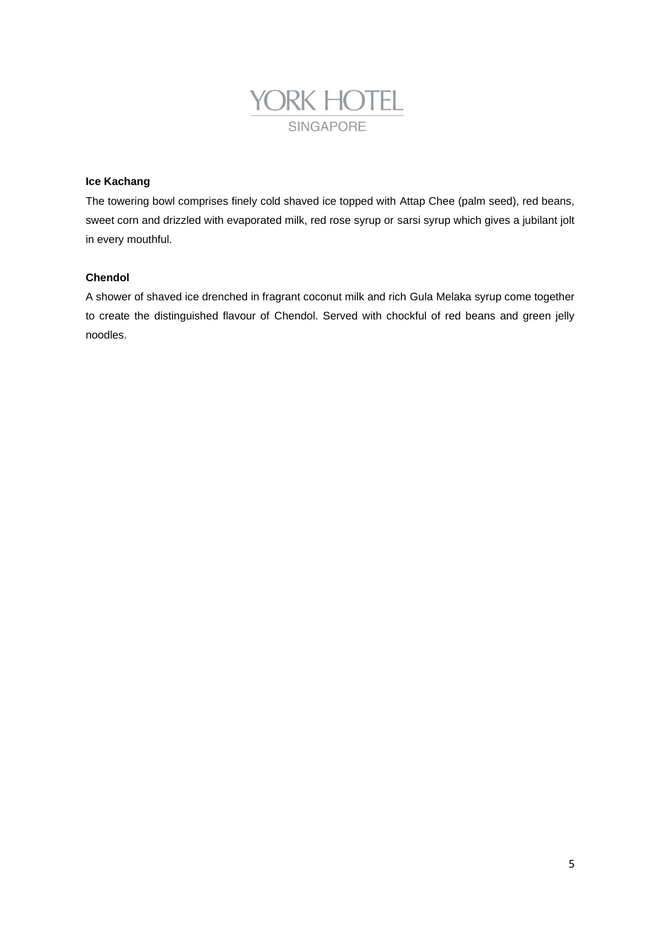

## **Ice Kachang**

The towering bowl comprises finely cold shaved ice topped with *Attap Chee* (palm seed), red beans, sweet corn and drizzled with evaporated milk, red rose syrup or *sarsi* syrup which gives a jubilant jolt in every mouthful.

## **Chendol**

A shower of shaved ice drenched in fragrant coconut milk and rich *Gula Melaka* syrup come together to create the distinguished flavour of *Chendol.* Served with chockful of red beans and green jelly noodles.